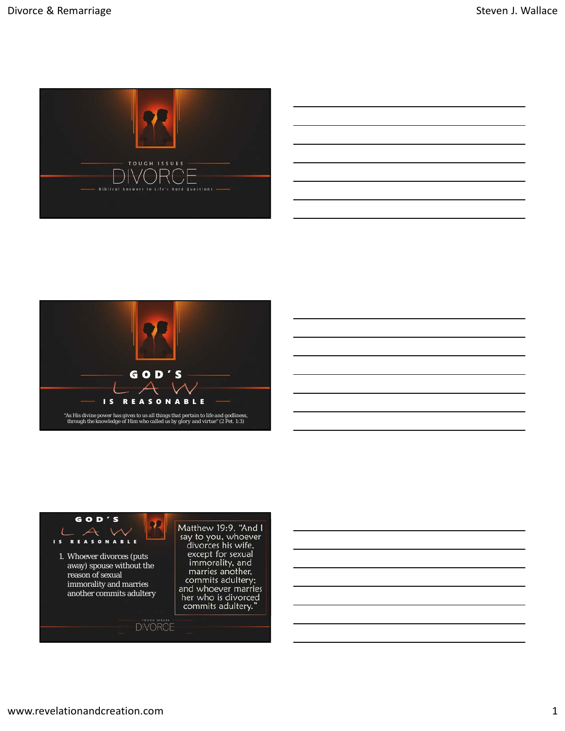



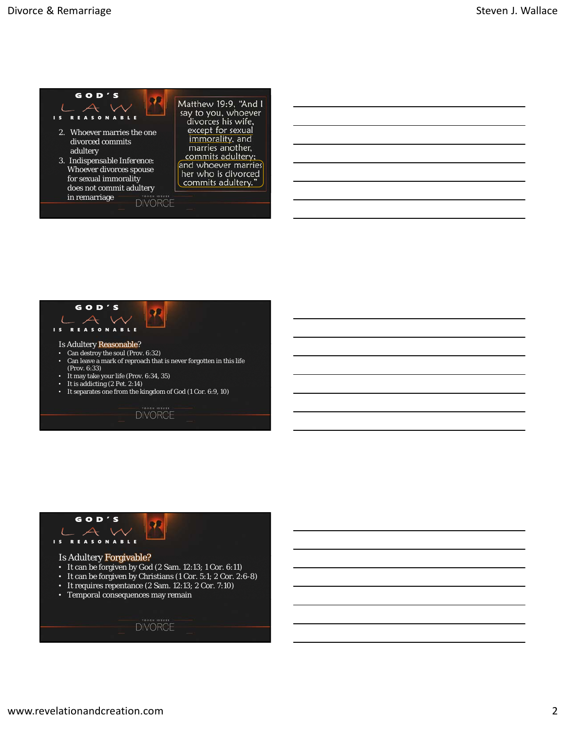